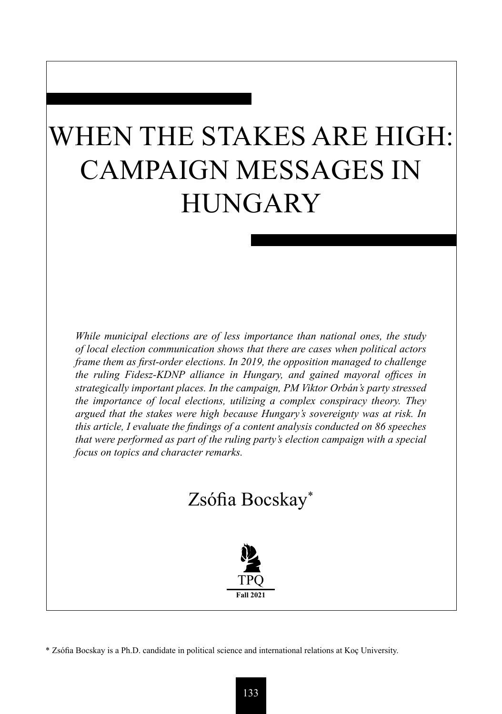# WHEN THE STAKES ARE HIGH: CAMPAIGN MESSAGES IN **HUNGARY**

*While municipal elections are of less importance than national ones, the study of local election communication shows that there are cases when political actors frame them as first-order elections. In 2019, the opposition managed to challenge the ruling Fidesz-KDNP alliance in Hungary, and gained mayoral offices in strategically important places. In the campaign, PM Viktor Orbán's party stressed the importance of local elections, utilizing a complex conspiracy theory. They argued that the stakes were high because Hungary's sovereignty was at risk. In this article, I evaluate the findings of a content analysis conducted on 86 speeches that were performed as part of the ruling party's election campaign with a special focus on topics and character remarks.*

# Zsófia Bocskay\*



\* Zsófia Bocskay is a Ph.D. candidate in political science and international relations at Koç University.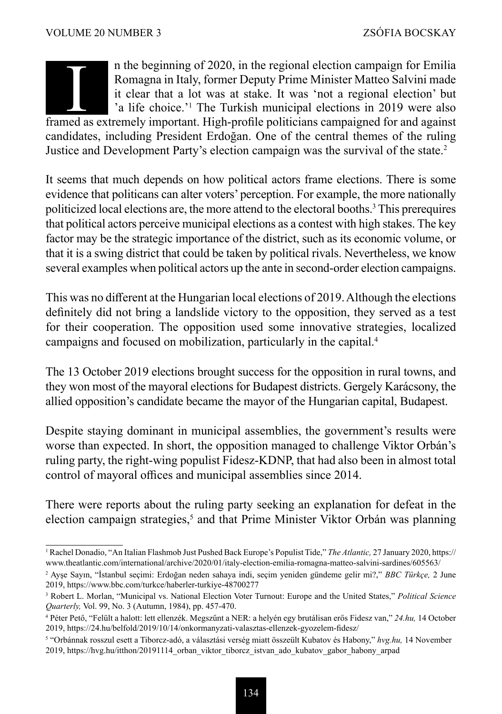### n the beginning of 2020, in the regional election campaign for Emilia Romagna in Italy, former Deputy Prime Minister Matteo Salvini made it clear that a lot was at stake. It was 'not a regional election' but 'a life choice.'<sup>1</sup> The Turkish municipal elections in 2019 were also It also the beginning of 2020, in the regional election campaign for Emilia<br>Romagna in Italy, former Deputy Prime Minister Matteo Salvini made<br>it clear that a lot was at stake. It was 'not a regional election' but<br>'a life

candidates, including President Erdoğan. One of the central themes of the ruling Justice and Development Party's election campaign was the survival of the state.2

It seems that much depends on how political actors frame elections. There is some evidence that politicans can alter voters' perception. For example, the more nationally politicized local elections are, the more attend to the electoral booths.<sup>3</sup> This prerequires that political actors perceive municipal elections as a contest with high stakes. The key factor may be the strategic importance of the district, such as its economic volume, or that it is a swing district that could be taken by political rivals. Nevertheless, we know several examples when political actors up the ante in second-order election campaigns.

This was no different at the Hungarian local elections of 2019. Although the elections definitely did not bring a landslide victory to the opposition, they served as a test for their cooperation. The opposition used some innovative strategies, localized campaigns and focused on mobilization, particularly in the capital.<sup>4</sup>

The 13 October 2019 elections brought success for the opposition in rural towns, and they won most of the mayoral elections for Budapest districts. Gergely Karácsony, the allied opposition's candidate became the mayor of the Hungarian capital, Budapest.

Despite staying dominant in municipal assemblies, the government's results were worse than expected. In short, the opposition managed to challenge Viktor Orbán's ruling party, the right-wing populist Fidesz-KDNP, that had also been in almost total control of mayoral offices and municipal assemblies since 2014.

There were reports about the ruling party seeking an explanation for defeat in the election campaign strategies,<sup>5</sup> and that Prime Minister Viktor Orbán was planning

<sup>1</sup> Rachel Donadio, "An Italian Flashmob Just Pushed Back Europe's Populist Tide," *The Atlantic,* 27 January 2020, https:// www.theatlantic.com/international/archive/2020/01/italy-election-emilia-romagna-matteo-salvini-sardines/605563/

<sup>2</sup> Ayşe Sayın, "İstanbul seçimi: Erdoğan neden sahaya indi, seçim yeniden gündeme gelir mi?," *BBC Türkçe,* 2 June 2019, https://www.bbc.com/turkce/haberler-turkiye-48700277

<sup>3</sup> Robert L. Morlan, "Municipal vs. National Election Voter Turnout: Europe and the United States," *Political Science Quarterly,* Vol. 99, No. 3 (Autumn, 1984), pp. 457-470.

<sup>4</sup> Péter Pető, "Felült a halott: lett ellenzék. Megszűnt a NER: a helyén egy brutálisan erős Fidesz van," *24.hu,* 14 October 2019, https://24.hu/belfold/2019/10/14/onkormanyzati-valasztas-ellenzek-gyozelem-fidesz/

<sup>5</sup> "Orbánnak rosszul esett a Tiborcz-adó, a választási verség miatt összeült Kubatov és Habony," *hvg.hu,* 14 November 2019, https://hvg.hu/itthon/20191114\_orban\_viktor\_tiborcz\_istvan\_ado\_kubatov\_gabor\_habony\_arpad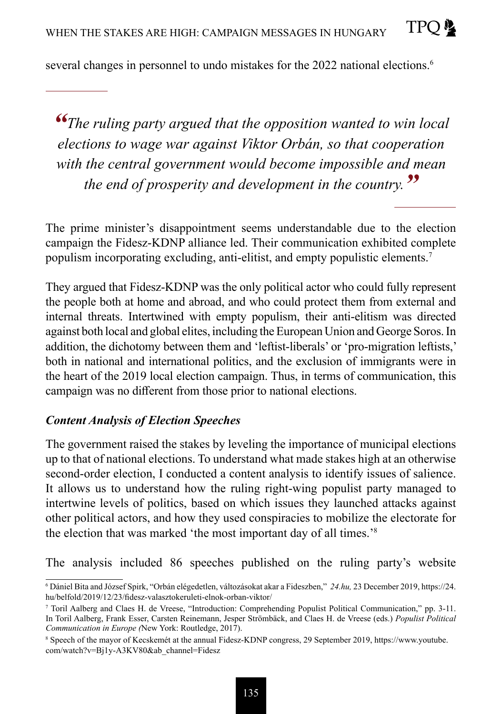several changes in personnel to undo mistakes for the 2022 national elections.<sup>6</sup>

*"The ruling party argued that the opposition wanted to win local elections to wage war against Viktor Orbán, so that cooperation with the central government would become impossible and mean the end of prosperity and development in the country."*

The prime minister's disappointment seems understandable due to the election campaign the Fidesz-KDNP alliance led. Their communication exhibited complete populism incorporating excluding, anti-elitist, and empty populistic elements.7

They argued that Fidesz-KDNP was the only political actor who could fully represent the people both at home and abroad, and who could protect them from external and internal threats. Intertwined with empty populism, their anti-elitism was directed against both local and global elites, including the European Union and George Soros. In addition, the dichotomy between them and 'leftist-liberals' or 'pro-migration leftists,' both in national and international politics, and the exclusion of immigrants were in the heart of the 2019 local election campaign. Thus, in terms of communication, this campaign was no different from those prior to national elections.

#### *Content Analysis of Election Speeches*

The government raised the stakes by leveling the importance of municipal elections up to that of national elections. To understand what made stakes high at an otherwise second-order election, I conducted a content analysis to identify issues of salience. It allows us to understand how the ruling right-wing populist party managed to intertwine levels of politics, based on which issues they launched attacks against other political actors, and how they used conspiracies to mobilize the electorate for the election that was marked 'the most important day of all times.'8

The analysis included 86 speeches published on the ruling party's website

<sup>6</sup> Dániel Bita and József Spirk, "Orbán elégedetlen, változásokat akar a Fideszben," *24.hu,* 23 December 2019, https://24. hu/belfold/2019/12/23/fidesz-valasztokeruleti-elnok-orban-viktor/

<sup>7</sup> Toril Aalberg and Claes H. de Vreese, "Introduction: Comprehending Populist Political Communication," pp. 3-11. In Toril Aalberg, Frank Esser, Carsten Reinemann, Jesper Strömbäck, and Claes H. de Vreese (eds.) *Populist Political Communication in Europe (*New York: Routledge, 2017).

<sup>8</sup> Speech of the mayor of Kecskemét at the annual Fidesz-KDNP congress, 29 September 2019, https://www.youtube. com/watch?v=Bj1y-A3KV80&ab\_channel=Fidesz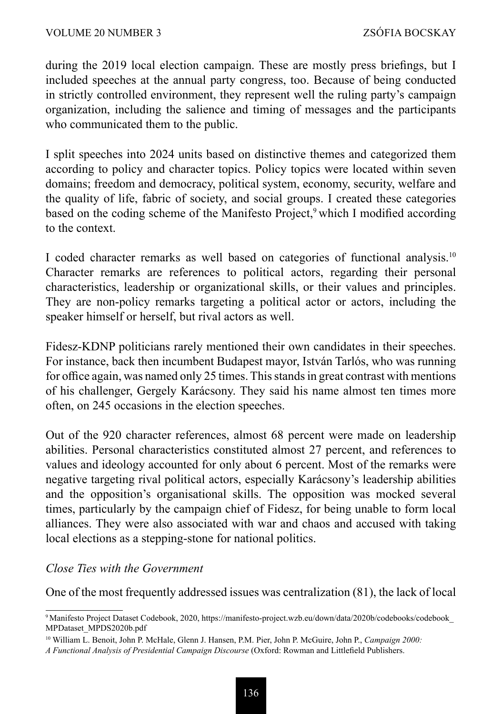during the 2019 local election campaign. These are mostly press briefings, but I included speeches at the annual party congress, too. Because of being conducted in strictly controlled environment, they represent well the ruling party's campaign organization, including the salience and timing of messages and the participants who communicated them to the public.

I split speeches into 2024 units based on distinctive themes and categorized them according to policy and character topics. Policy topics were located within seven domains; freedom and democracy, political system, economy, security, welfare and the quality of life, fabric of society, and social groups. I created these categories based on the coding scheme of the Manifesto Project,<sup>9</sup> which I modified according to the context.

I coded character remarks as well based on categories of functional analysis.10 Character remarks are references to political actors, regarding their personal characteristics, leadership or organizational skills, or their values and principles. They are non-policy remarks targeting a political actor or actors, including the speaker himself or herself, but rival actors as well.

Fidesz-KDNP politicians rarely mentioned their own candidates in their speeches. For instance, back then incumbent Budapest mayor, István Tarlós, who was running for office again, was named only 25 times. This stands in great contrast with mentions of his challenger, Gergely Karácsony. They said his name almost ten times more often, on 245 occasions in the election speeches.

Out of the 920 character references, almost 68 percent were made on leadership abilities. Personal characteristics constituted almost 27 percent, and references to values and ideology accounted for only about 6 percent. Most of the remarks were negative targeting rival political actors, especially Karácsony's leadership abilities and the opposition's organisational skills. The opposition was mocked several times, particularly by the campaign chief of Fidesz, for being unable to form local alliances. They were also associated with war and chaos and accused with taking local elections as a stepping-stone for national politics.

#### *Close Ties with the Government*

One of the most frequently addressed issues was centralization (81), the lack of local

<sup>9</sup> Manifesto Project Dataset Codebook, 2020, https://manifesto-project.wzb.eu/down/data/2020b/codebooks/codebook\_ MPDataset\_MPDS2020b.pdf

<sup>10</sup> William L. Benoit, John P. McHale, Glenn J. Hansen, P.M. Pier, John P. McGuire, John P., *Campaign 2000:* 

*A Functional Analysis of Presidential Campaign Discourse* (Oxford: Rowman and Littlefield Publishers.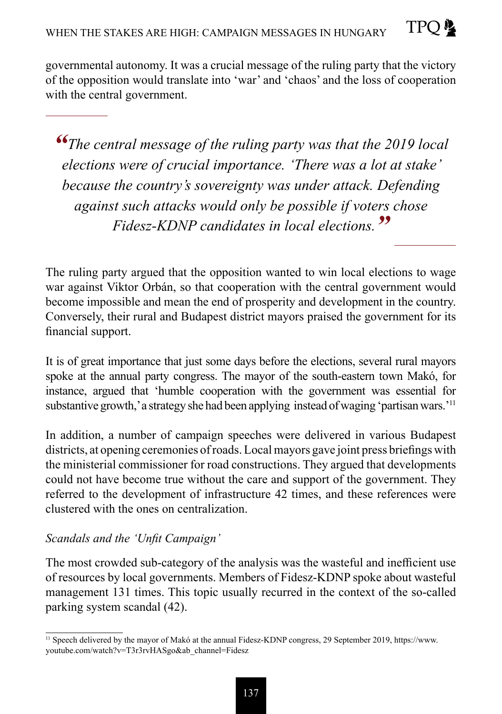**TPO** 

*"The central message of the ruling party was that the 2019 local elections were of crucial importance. 'There was a lot at stake' because the country's sovereignty was under attack. Defending against such attacks would only be possible if voters chose Fidesz-KDNP candidates in local elections."*

The ruling party argued that the opposition wanted to win local elections to wage war against Viktor Orbán, so that cooperation with the central government would become impossible and mean the end of prosperity and development in the country. Conversely, their rural and Budapest district mayors praised the government for its financial support.

It is of great importance that just some days before the elections, several rural mayors spoke at the annual party congress. The mayor of the south-eastern town Makó, for instance, argued that 'humble cooperation with the government was essential for substantive growth,' a strategy she had been applying instead of waging 'partisan wars.'<sup>11</sup>

In addition, a number of campaign speeches were delivered in various Budapest districts, at opening ceremonies of roads. Local mayors gave joint press briefings with the ministerial commissioner for road constructions. They argued that developments could not have become true without the care and support of the government. They referred to the development of infrastructure 42 times, and these references were clustered with the ones on centralization.

## *Scandals and the 'Unfit Campaign'*

The most crowded sub-category of the analysis was the wasteful and inefficient use of resources by local governments. Members of Fidesz-KDNP spoke about wasteful management 131 times. This topic usually recurred in the context of the so-called parking system scandal (42).

<sup>&</sup>lt;sup>11</sup> Speech delivered by the mayor of Makó at the annual Fidesz-KDNP congress, 29 September 2019, https://www. youtube.com/watch?v=T3r3rvHASgo&ab\_channel=Fidesz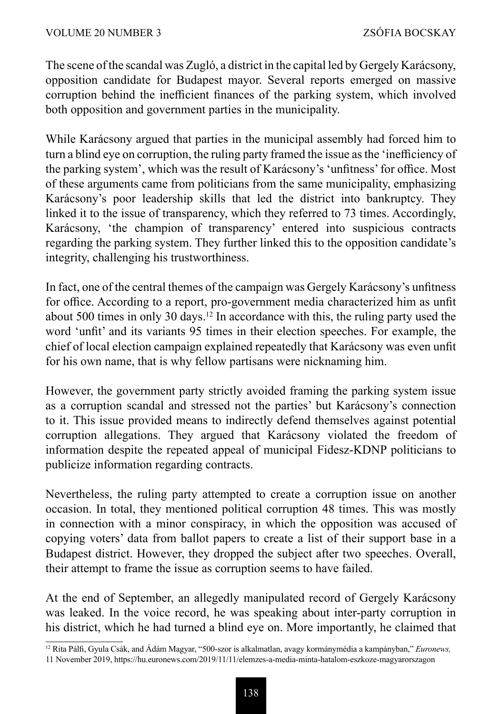The scene of the scandal was Zugló, a district in the capital led by Gergely Karácsony, opposition candidate for Budapest mayor. Several reports emerged on massive corruption behind the inefficient finances of the parking system, which involved both opposition and government parties in the municipality.

While Karácsony argued that parties in the municipal assembly had forced him to turn a blind eye on corruption, the ruling party framed the issue as the 'inefficiency of the parking system', which was the result of Karácsony's 'unfitness' for office. Most of these arguments came from politicians from the same municipality, emphasizing Karácsony's poor leadership skills that led the district into bankruptcy. They linked it to the issue of transparency, which they referred to 73 times. Accordingly, Karácsony, 'the champion of transparency' entered into suspicious contracts regarding the parking system. They further linked this to the opposition candidate's integrity, challenging his trustworthiness.

In fact, one of the central themes of the campaign was Gergely Karácsony's unfitness for office. According to a report, pro-government media characterized him as unfit about 500 times in only 30 days.12 In accordance with this, the ruling party used the word 'unfit' and its variants 95 times in their election speeches. For example, the chief of local election campaign explained repeatedly that Karácsony was even unfit for his own name, that is why fellow partisans were nicknaming him.

However, the government party strictly avoided framing the parking system issue as a corruption scandal and stressed not the parties' but Karácsony's connection to it. This issue provided means to indirectly defend themselves against potential corruption allegations. They argued that Karácsony violated the freedom of information despite the repeated appeal of municipal Fidesz-KDNP politicians to publicize information regarding contracts.

Nevertheless, the ruling party attempted to create a corruption issue on another occasion. In total, they mentioned political corruption 48 times. This was mostly in connection with a minor conspiracy, in which the opposition was accused of copying voters' data from ballot papers to create a list of their support base in a Budapest district. However, they dropped the subject after two speeches. Overall, their attempt to frame the issue as corruption seems to have failed.

At the end of September, an allegedly manipulated record of Gergely Karácsony was leaked. In the voice record, he was speaking about inter-party corruption in his district, which he had turned a blind eye on. More importantly, he claimed that

<sup>12</sup> Rita Pálfi, Gyula Csák, and Ádám Magyar, "500-szor is alkalmatlan, avagy kormánymédia a kampányban," *Euronews,* 

<sup>11</sup> November 2019, https://hu.euronews.com/2019/11/11/elemzes-a-media-minta-hatalom-eszkoze-magyarorszagon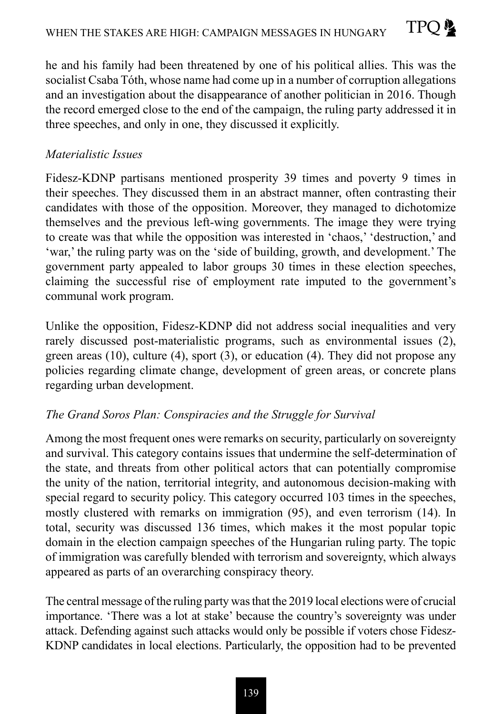he and his family had been threatened by one of his political allies. This was the socialist Csaba Tóth, whose name had come up in a number of corruption allegations and an investigation about the disappearance of another politician in 2016. Though the record emerged close to the end of the campaign, the ruling party addressed it in three speeches, and only in one, they discussed it explicitly.

TPO &

### *Materialistic Issues*

Fidesz-KDNP partisans mentioned prosperity 39 times and poverty 9 times in their speeches. They discussed them in an abstract manner, often contrasting their candidates with those of the opposition. Moreover, they managed to dichotomize themselves and the previous left-wing governments. The image they were trying to create was that while the opposition was interested in 'chaos,' 'destruction,' and 'war,' the ruling party was on the 'side of building, growth, and development.' The government party appealed to labor groups 30 times in these election speeches, claiming the successful rise of employment rate imputed to the government's communal work program.

Unlike the opposition, Fidesz-KDNP did not address social inequalities and very rarely discussed post-materialistic programs, such as environmental issues (2), green areas  $(10)$ , culture  $(4)$ , sport  $(3)$ , or education  $(4)$ . They did not propose any policies regarding climate change, development of green areas, or concrete plans regarding urban development.

#### *The Grand Soros Plan: Conspiracies and the Struggle for Survival*

Among the most frequent ones were remarks on security, particularly on sovereignty and survival. This category contains issues that undermine the self-determination of the state, and threats from other political actors that can potentially compromise the unity of the nation, territorial integrity, and autonomous decision-making with special regard to security policy. This category occurred 103 times in the speeches, mostly clustered with remarks on immigration (95), and even terrorism (14). In total, security was discussed 136 times, which makes it the most popular topic domain in the election campaign speeches of the Hungarian ruling party. The topic of immigration was carefully blended with terrorism and sovereignty, which always appeared as parts of an overarching conspiracy theory.

The central message of the ruling party was that the 2019 local elections were of crucial importance. 'There was a lot at stake' because the country's sovereignty was under attack. Defending against such attacks would only be possible if voters chose Fidesz-KDNP candidates in local elections. Particularly, the opposition had to be prevented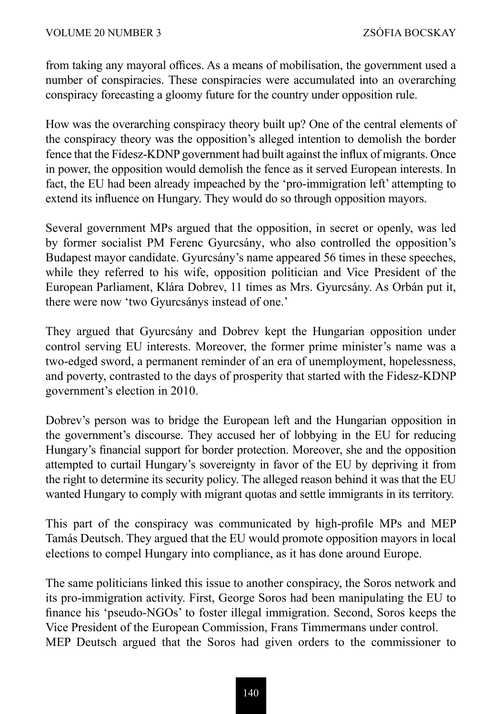from taking any mayoral offices. As a means of mobilisation, the government used a number of conspiracies. These conspiracies were accumulated into an overarching conspiracy forecasting a gloomy future for the country under opposition rule.

How was the overarching conspiracy theory built up? One of the central elements of the conspiracy theory was the opposition's alleged intention to demolish the border fence that the Fidesz-KDNP government had built against the influx of migrants. Once in power, the opposition would demolish the fence as it served European interests. In fact, the EU had been already impeached by the 'pro-immigration left' attempting to extend its influence on Hungary. They would do so through opposition mayors.

Several government MPs argued that the opposition, in secret or openly, was led by former socialist PM Ferenc Gyurcsány, who also controlled the opposition's Budapest mayor candidate. Gyurcsány's name appeared 56 times in these speeches, while they referred to his wife, opposition politician and Vice President of the European Parliament, Klára Dobrev, 11 times as Mrs. Gyurcsány. As Orbán put it, there were now 'two Gyurcsánys instead of one.'

They argued that Gyurcsány and Dobrev kept the Hungarian opposition under control serving EU interests. Moreover, the former prime minister's name was a two-edged sword, a permanent reminder of an era of unemployment, hopelessness, and poverty, contrasted to the days of prosperity that started with the Fidesz-KDNP government's election in 2010.

Dobrev's person was to bridge the European left and the Hungarian opposition in the government's discourse. They accused her of lobbying in the EU for reducing Hungary's financial support for border protection. Moreover, she and the opposition attempted to curtail Hungary's sovereignty in favor of the EU by depriving it from the right to determine its security policy. The alleged reason behind it was that the EU wanted Hungary to comply with migrant quotas and settle immigrants in its territory.

This part of the conspiracy was communicated by high-profile MPs and MEP Tamás Deutsch. They argued that the EU would promote opposition mayors in local elections to compel Hungary into compliance, as it has done around Europe.

The same politicians linked this issue to another conspiracy, the Soros network and its pro-immigration activity. First, George Soros had been manipulating the EU to finance his 'pseudo-NGOs' to foster illegal immigration. Second, Soros keeps the Vice President of the European Commission, Frans Timmermans under control. MEP Deutsch argued that the Soros had given orders to the commissioner to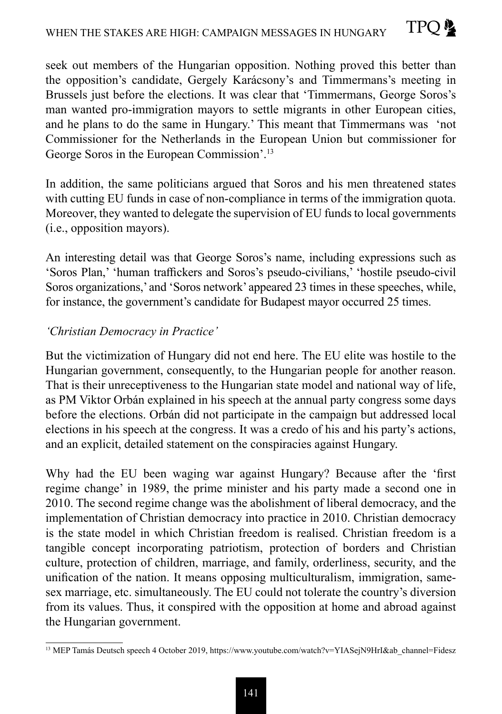seek out members of the Hungarian opposition. Nothing proved this better than the opposition's candidate, Gergely Karácsony's and Timmermans's meeting in Brussels just before the elections. It was clear that 'Timmermans, George Soros's man wanted pro-immigration mayors to settle migrants in other European cities, and he plans to do the same in Hungary.' This meant that Timmermans was 'not Commissioner for the Netherlands in the European Union but commissioner for George Soros in the European Commission'.<sup>13</sup>

In addition, the same politicians argued that Soros and his men threatened states with cutting EU funds in case of non-compliance in terms of the immigration quota. Moreover, they wanted to delegate the supervision of EU funds to local governments (i.e., opposition mayors).

An interesting detail was that George Soros's name, including expressions such as 'Soros Plan,' 'human traffickers and Soros's pseudo-civilians,' 'hostile pseudo-civil Soros organizations,' and 'Soros network' appeared 23 times in these speeches, while, for instance, the government's candidate for Budapest mayor occurred 25 times.

### *'Christian Democracy in Practice'*

But the victimization of Hungary did not end here. The EU elite was hostile to the Hungarian government, consequently, to the Hungarian people for another reason. That is their unreceptiveness to the Hungarian state model and national way of life, as PM Viktor Orbán explained in his speech at the annual party congress some days before the elections. Orbán did not participate in the campaign but addressed local elections in his speech at the congress. It was a credo of his and his party's actions, and an explicit, detailed statement on the conspiracies against Hungary.

Why had the EU been waging war against Hungary? Because after the 'first regime change' in 1989, the prime minister and his party made a second one in 2010. The second regime change was the abolishment of liberal democracy, and the implementation of Christian democracy into practice in 2010. Christian democracy is the state model in which Christian freedom is realised. Christian freedom is a tangible concept incorporating patriotism, protection of borders and Christian culture, protection of children, marriage, and family, orderliness, security, and the unification of the nation. It means opposing multiculturalism, immigration, samesex marriage, etc. simultaneously. The EU could not tolerate the country's diversion from its values. Thus, it conspired with the opposition at home and abroad against the Hungarian government.

<sup>&</sup>lt;sup>13</sup> MEP Tamás Deutsch speech 4 October 2019, https://www.youtube.com/watch?v=YIASejN9HrI&ab\_channel=Fidesz